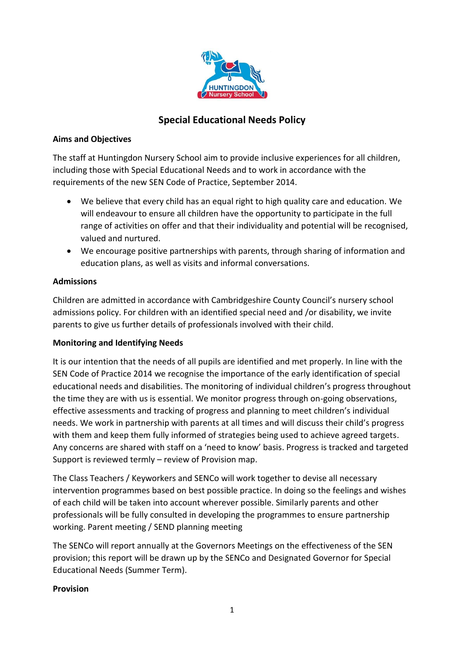

# **Special Educational Needs Policy**

#### **Aims and Objectives**

The staff at Huntingdon Nursery School aim to provide inclusive experiences for all children, including those with Special Educational Needs and to work in accordance with the requirements of the new SEN Code of Practice, September 2014.

- We believe that every child has an equal right to high quality care and education. We will endeavour to ensure all children have the opportunity to participate in the full range of activities on offer and that their individuality and potential will be recognised, valued and nurtured.
- We encourage positive partnerships with parents, through sharing of information and education plans, as well as visits and informal conversations.

### **Admissions**

Children are admitted in accordance with Cambridgeshire County Council's nursery school admissions policy. For children with an identified special need and /or disability, we invite parents to give us further details of professionals involved with their child.

### **Monitoring and Identifying Needs**

It is our intention that the needs of all pupils are identified and met properly. In line with the SEN Code of Practice 2014 we recognise the importance of the early identification of special educational needs and disabilities. The monitoring of individual children's progress throughout the time they are with us is essential. We monitor progress through on-going observations, effective assessments and tracking of progress and planning to meet children's individual needs. We work in partnership with parents at all times and will discuss their child's progress with them and keep them fully informed of strategies being used to achieve agreed targets. Any concerns are shared with staff on a 'need to know' basis. Progress is tracked and targeted Support is reviewed termly – review of Provision map.

The Class Teachers / Keyworkers and SENCo will work together to devise all necessary intervention programmes based on best possible practice. In doing so the feelings and wishes of each child will be taken into account wherever possible. Similarly parents and other professionals will be fully consulted in developing the programmes to ensure partnership working. Parent meeting / SEND planning meeting

The SENCo will report annually at the Governors Meetings on the effectiveness of the SEN provision; this report will be drawn up by the SENCo and Designated Governor for Special Educational Needs (Summer Term).

### **Provision**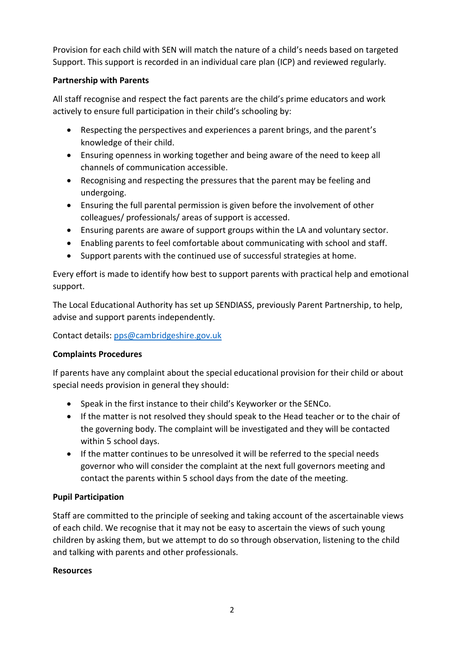Provision for each child with SEN will match the nature of a child's needs based on targeted Support. This support is recorded in an individual care plan (ICP) and reviewed regularly.

## **Partnership with Parents**

All staff recognise and respect the fact parents are the child's prime educators and work actively to ensure full participation in their child's schooling by:

- Respecting the perspectives and experiences a parent brings, and the parent's knowledge of their child.
- Ensuring openness in working together and being aware of the need to keep all channels of communication accessible.
- Recognising and respecting the pressures that the parent may be feeling and undergoing.
- Ensuring the full parental permission is given before the involvement of other colleagues/ professionals/ areas of support is accessed.
- Ensuring parents are aware of support groups within the LA and voluntary sector.
- Enabling parents to feel comfortable about communicating with school and staff.
- Support parents with the continued use of successful strategies at home.

Every effort is made to identify how best to support parents with practical help and emotional support.

The Local Educational Authority has set up SENDIASS, previously Parent Partnership, to help, advise and support parents independently.

Contact details: [pps@cambridgeshire.gov.uk](mailto:pps@cambridgeshire.gov.uk)

## **Complaints Procedures**

If parents have any complaint about the special educational provision for their child or about special needs provision in general they should:

- Speak in the first instance to their child's Keyworker or the SENCo.
- If the matter is not resolved they should speak to the Head teacher or to the chair of the governing body. The complaint will be investigated and they will be contacted within 5 school days.
- If the matter continues to be unresolved it will be referred to the special needs governor who will consider the complaint at the next full governors meeting and contact the parents within 5 school days from the date of the meeting.

## **Pupil Participation**

Staff are committed to the principle of seeking and taking account of the ascertainable views of each child. We recognise that it may not be easy to ascertain the views of such young children by asking them, but we attempt to do so through observation, listening to the child and talking with parents and other professionals.

## **Resources**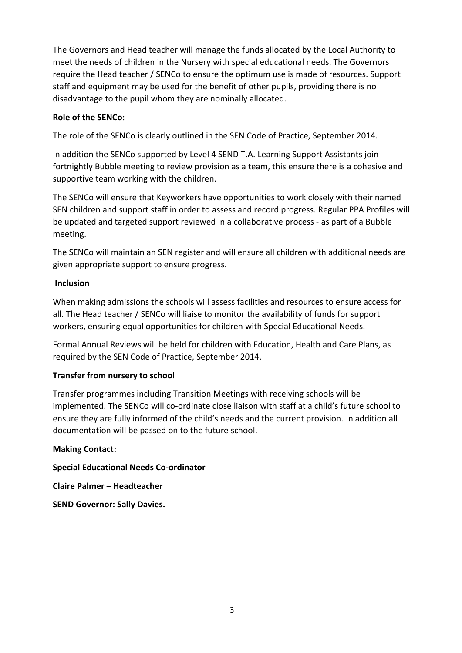The Governors and Head teacher will manage the funds allocated by the Local Authority to meet the needs of children in the Nursery with special educational needs. The Governors require the Head teacher / SENCo to ensure the optimum use is made of resources. Support staff and equipment may be used for the benefit of other pupils, providing there is no disadvantage to the pupil whom they are nominally allocated.

### **Role of the SENCo:**

The role of the SENCo is clearly outlined in the SEN Code of Practice, September 2014.

In addition the SENCo supported by Level 4 SEND T.A. Learning Support Assistants join fortnightly Bubble meeting to review provision as a team, this ensure there is a cohesive and supportive team working with the children.

The SENCo will ensure that Keyworkers have opportunities to work closely with their named SEN children and support staff in order to assess and record progress. Regular PPA Profiles will be updated and targeted support reviewed in a collaborative process - as part of a Bubble meeting.

The SENCo will maintain an SEN register and will ensure all children with additional needs are given appropriate support to ensure progress.

### **Inclusion**

When making admissions the schools will assess facilities and resources to ensure access for all. The Head teacher / SENCo will liaise to monitor the availability of funds for support workers, ensuring equal opportunities for children with Special Educational Needs.

Formal Annual Reviews will be held for children with Education, Health and Care Plans, as required by the SEN Code of Practice, September 2014.

## **Transfer from nursery to school**

Transfer programmes including Transition Meetings with receiving schools will be implemented. The SENCo will co-ordinate close liaison with staff at a child's future school to ensure they are fully informed of the child's needs and the current provision. In addition all documentation will be passed on to the future school.

### **Making Contact:**

**Special Educational Needs Co-ordinator**

**Claire Palmer – Headteacher** 

**SEND Governor: Sally Davies.**